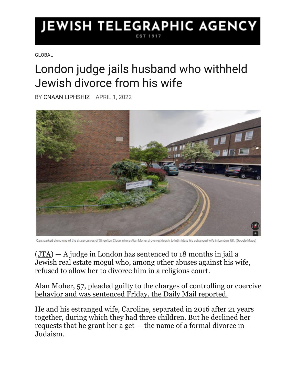## JEWISH TELEGRAPHIC AGENCY

[GLOBAL](https://www.jta.org/category/global)

## London judge jails husband who withheld Jewish divorce from his wife

BY [CNAAN LIPHSHIZ](https://www.jta.org/author/cnaan-liphshiz) APRIL 1, 2022



Cars parked along one of the sharp curves of Singelton Close, where Alan Moher drove recklessly to intimidate his estranged wife in London, UK. (Google Maps

 $(JTA)$  — A judge in London has sentenced to 18 months in jail a Jewish real estate mogul who, among other abuses against his wife, refused to allow her to divorce him in a religious court.

[Alan Moher, 57, pleaded guilty to the charges of controlling or coercive](https://www.dailymail.co.uk/news/article-10676265/Jewish-property-millionaire-jailed-18-months-refusing-grant-wife-religious-divorce.html)  [behavior and was sentenced Friday, the Daily Mail reported.](https://www.dailymail.co.uk/news/article-10676265/Jewish-property-millionaire-jailed-18-months-refusing-grant-wife-religious-divorce.html)

He and his estranged wife, Caroline, separated in 2016 after 21 years together, during which they had three children. But he declined her requests that he grant her a get — the name of a formal divorce in Judaism.